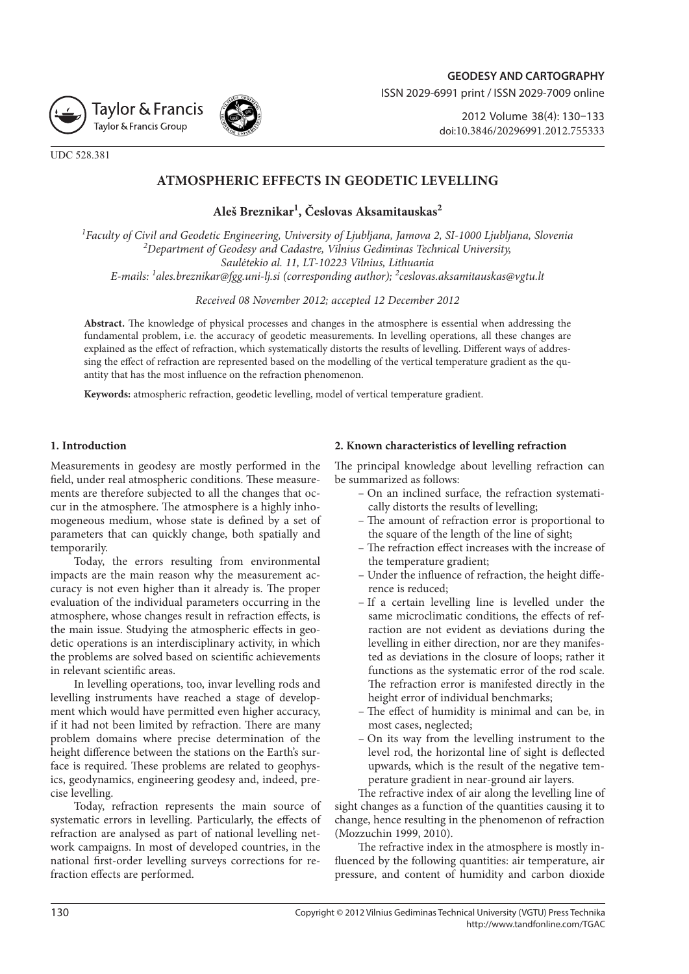



**GEODESY AND CARTOGRAPHY** ISSN 2029-6991 print / ISSN 2029-7009 online

> 2012 Volume 38(4): 130–133 doi:[10.3846/20296991.2012.755333](http://dx.doi.org/10.3846/20296991.2012.755333)

**ATMOSPHERIC EFFECTS IN GEODETIC LEVELLING** 

**Aleš Breznikar1 , Česlovas [Aksamitauskas2](http://mc.manuscriptcentral.com/ javascript:popWindow()**

*1 Faculty of Civil and Geodetic Engineering, University of Ljubljana, Jamova 2, SI-1000 Ljubljana, Slovenia <sup>2</sup> Department of Geodesy and Cadastre, Vilnius Gediminas Technical University, Saulėtekio al. 11, LT-10223 Vilnius, Lithuania E-mails: <sup>1</sup> [ales.breznikar@fgg.uni-lj.si](mailto:ales.breznikar@fgg.uni-lj.si) (corresponding author); <sup>2</sup> [ceslovas.aksamitauskas@vgtu.lt](mailto:ceslovas.aksamitauskas@vgtu.lt)*

*Received 08 November 2012; accepted 12 December 2012*

**Abstract.** The knowledge of physical processes and changes in the atmosphere is essential when addressing the fundamental problem, i.e. the accuracy of geodetic measurements. In levelling operations, all these changes are explained as the effect of refraction, which systematically distorts the results of levelling. Different ways of addressing the effect of refraction are represented based on the modelling of the vertical temperature gradient as the quantity that has the most influence on the refraction phenomenon.

**Keywords:** atmospheric refraction, geodetic levelling, model of vertical temperature gradient.

## **1. Introduction**

UDC 528.381

Measurements in geodesy are mostly performed in the field, under real atmospheric conditions. These measurements are therefore subjected to all the changes that occur in the atmosphere. The atmosphere is a highly inhomogeneous medium, whose state is defined by a set of parameters that can quickly change, both spatially and temporarily.

Today, the errors resulting from environmental impacts are the main reason why the measurement accuracy is not even higher than it already is. The proper evaluation of the individual parameters occurring in the atmosphere, whose changes result in refraction effects, is the main issue. Studying the atmospheric effects in geodetic operations is an interdisciplinary activity, in which the problems are solved based on scientific achievements in relevant scientific areas.

In levelling operations, too, invar levelling rods and levelling instruments have reached a stage of development which would have permitted even higher accuracy, if it had not been limited by refraction. There are many problem domains where precise determination of the height difference between the stations on the Earth's surface is required. These problems are related to geophysics, geodynamics, engineering geodesy and, indeed, precise levelling.

Today, refraction represents the main source of systematic errors in levelling. Particularly, the effects of refraction are analysed as part of national levelling network campaigns. In most of developed countries, in the national first-order levelling surveys corrections for refraction effects are performed.

# **2. Known characteristics of levelling refraction**

The principal knowledge about levelling refraction can be summarized as follows:

- On an inclined surface, the refraction systematically distorts the results of levelling;
- The amount of refraction error is proportional to the square of the length of the line of sight;
- The refraction effect increases with the increase of the temperature gradient;
- Under the influence of refraction, the height difference is reduced;
- If a certain levelling line is levelled under the same microclimatic conditions, the effects of refraction are not evident as deviations during the levelling in either direction, nor are they manifested as deviations in the closure of loops; rather it functions as the systematic error of the rod scale. The refraction error is manifested directly in the height error of individual benchmarks;
- The effect of humidity is minimal and can be, in most cases, neglected;
- On its way from the levelling instrument to the level rod, the horizontal line of sight is deflected upwards, which is the result of the negative temperature gradient in near-ground air layers.

The refractive index of air along the levelling line of sight changes as a function of the quantities causing it to change, hence resulting in the phenomenon of refraction (Mozzuchin 1999, 2010).

The refractive index in the atmosphere is mostly influenced by the following quantities: air temperature, air pressure, and content of humidity and carbon dioxide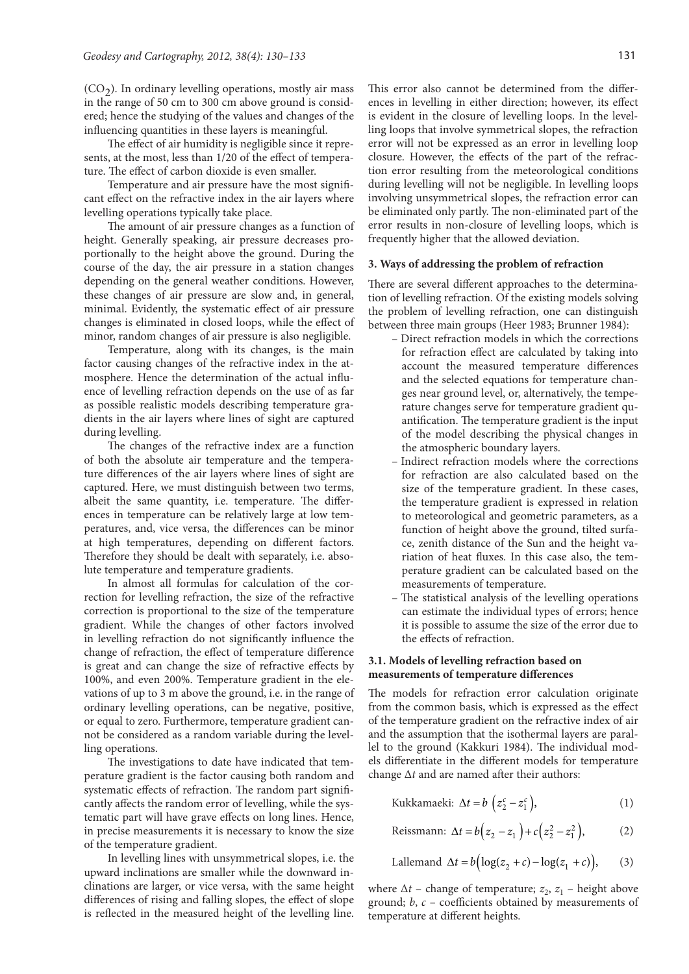$(CO<sub>2</sub>)$ . In ordinary levelling operations, mostly air mass in the range of 50 cm to 300 cm above ground is considered; hence the studying of the values and changes of the influencing quantities in these layers is meaningful.

The effect of air humidity is negligible since it represents, at the most, less than 1/20 of the effect of temperature. The effect of carbon dioxide is even smaller.

Temperature and air pressure have the most significant effect on the refractive index in the air layers where levelling operations typically take place.

The amount of air pressure changes as a function of height. Generally speaking, air pressure decreases proportionally to the height above the ground. During the course of the day, the air pressure in a station changes depending on the general weather conditions. However, these changes of air pressure are slow and, in general, minimal. Evidently, the systematic effect of air pressure changes is eliminated in closed loops, while the effect of minor, random changes of air pressure is also negligible.

Temperature, along with its changes, is the main factor causing changes of the refractive index in the atmosphere. Hence the determination of the actual influence of levelling refraction depends on the use of as far as possible realistic models describing temperature gradients in the air layers where lines of sight are captured during levelling.

The changes of the refractive index are a function of both the absolute air temperature and the temperature differences of the air layers where lines of sight are captured. Here, we must distinguish between two terms, albeit the same quantity, i.e. temperature. The differences in temperature can be relatively large at low temperatures, and, vice versa, the differences can be minor at high temperatures, depending on different factors. Therefore they should be dealt with separately, i.e. absolute temperature and temperature gradients.

In almost all formulas for calculation of the correction for levelling refraction, the size of the refractive correction is proportional to the size of the temperature gradient. While the changes of other factors involved in levelling refraction do not significantly influence the change of refraction, the effect of temperature difference is great and can change the size of refractive effects by 100%, and even 200%. Temperature gradient in the elevations of up to 3 m above the ground, i.e. in the range of ordinary levelling operations, can be negative, positive, or equal to zero. Furthermore, temperature gradient cannot be considered as a random variable during the levelling operations.

The investigations to date have indicated that temperature gradient is the factor causing both random and systematic effects of refraction. The random part significantly affects the random error of levelling, while the systematic part will have grave effects on long lines. Hence, in precise measurements it is necessary to know the size of the temperature gradient.

In levelling lines with unsymmetrical slopes, i.e. the upward inclinations are smaller while the downward inclinations are larger, or vice versa, with the same height differences of rising and falling slopes, the effect of slope is reflected in the measured height of the levelling line.

This error also cannot be determined from the differences in levelling in either direction; however, its effect is evident in the closure of levelling loops. In the levelling loops that involve symmetrical slopes, the refraction error will not be expressed as an error in levelling loop closure. However, the effects of the part of the refraction error resulting from the meteorological conditions during levelling will not be negligible. In levelling loops involving unsymmetrical slopes, the refraction error can be eliminated only partly. The non-eliminated part of the error results in non-closure of levelling loops, which is frequently higher that the allowed deviation.

### **3. Ways of addressing the problem of refraction**

There are several different approaches to the determination of levelling refraction. Of the existing models solving the problem of levelling refraction, one can distinguish between three main groups (Heer 1983; Brunner 1984):

- Direct refraction models in which the corrections for refraction effect are calculated by taking into account the measured temperature differences and the selected equations for temperature changes near ground level, or, alternatively, the temperature changes serve for temperature gradient quantification. The temperature gradient is the input of the model describing the physical changes in the atmospheric boundary layers.
- Indirect refraction models where the corrections for refraction are also calculated based on the size of the temperature gradient. In these cases, the temperature gradient is expressed in relation to meteorological and geometric parameters, as a function of height above the ground, tilted surface, zenith distance of the Sun and the height variation of heat fluxes. In this case also, the temperature gradient can be calculated based on the measurements of temperature.
- The statistical analysis of the levelling operations can estimate the individual types of errors; hence it is possible to assume the size of the error due to the effects of refraction.

## **3.1. Models of levelling refraction based on measurements of temperature differences**

The models for refraction error calculation originate from the common basis, which is expressed as the effect of the temperature gradient on the refractive index of air and the assumption that the isothermal layers are parallel to the ground (Kakkuri 1984). The individual models differentiate in the different models for temperature change ∆*t* and are named after their authors:

Kukkamaeki: 
$$
\Delta t = b \left( z_2^c - z_1^c \right),
$$
 (1)

Reissmann: 
$$
\Delta t = b(z_2 - z_1) + c(z_2^2 - z_1^2)
$$
, (2)

Lallemand 
$$
\Delta t = b \Big( \log(z_2 + c) - \log(z_1 + c) \Big)
$$
, (3)

where  $\Delta t$  – change of temperature; *z*<sub>2</sub>, *z*<sub>1</sub> – height above ground; *b*, *c* – coefficients obtained by measurements of temperature at different heights.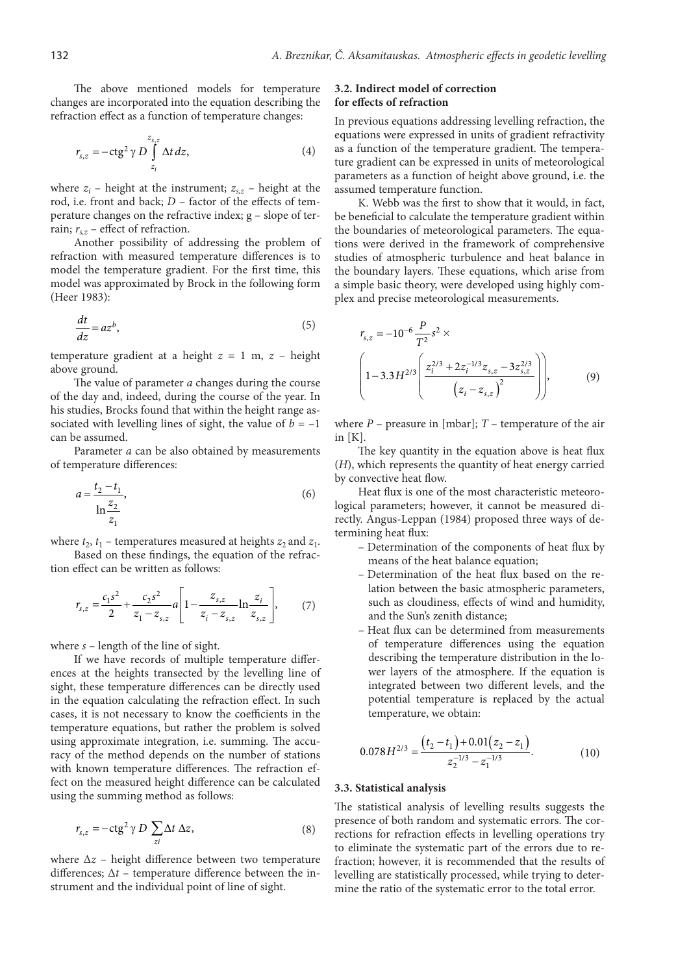The above mentioned models for temperature changes are incorporated into the equation describing the refraction effect as a function of temperature changes:

$$
r_{s,z} = -ctg^2 \gamma D \int_{z_i}^{z_{s,z}} \Delta t \, dz, \tag{4}
$$

where  $z_i$  – height at the instrument;  $z_{s,z}$  – height at the rod, i.e. front and back; *D* – factor of the effects of temperature changes on the refractive index; g – slope of terrain;  $r_{s,z}$  – effect of refraction.

Another possibility of addressing the problem of refraction with measured temperature differences is to model the temperature gradient. For the first time, this model was approximated by Brock in the following form (Heer 1983):

$$
\frac{dt}{dz} = az^b,\tag{5}
$$

temperature gradient at a height  $z = 1$  m,  $z$  – height above ground.

The value of parameter *a* changes during the course  $\left| \frac{1-3.3H^{2/3}}{2.2\pi} \right| \frac{t}{(z-z_0)^2}$ of the day and, indeed, during the course of the year. In his studies, Brocks found that within the height range associated with levelling lines of sight, the value of  $b = -1$ can be assumed.

Parameter *a* can be also obtained by measurements of temperature differences:

$$
a = \frac{t_2 - t_1}{\ln \frac{z_2}{z_1}},
$$
\n(6)

where  $t_2$ ,  $t_1$  – temperatures measured at heights  $z_2$  and  $z_1$ .

Based on these findings, the equation of the refraction effect can be written as follows:

$$
r_{s,z} = \frac{c_1 s^2}{2} + \frac{c_2 s^2}{z_1 - z_{s,z}} a \left[ 1 - \frac{z_{s,z}}{z_i - z_{s,z}} \ln \frac{z_i}{z_{s,z}} \right],\tag{7}
$$

where *s* – length of the line of sight.

If we have records of multiple temperature differences at the heights transected by the levelling line of sight, these temperature differences can be directly used in the equation calculating the refraction effect. In such cases, it is not necessary to know the coefficients in the temperature equations, but rather the problem is solved using approximate integration, i.e. summing. The accuracy of the method depends on the number of stations with known temperature differences. The refraction effect on the measured height difference can be calculated using the summing method as follows:

$$
r_{s,z} = -ctg^2 \gamma D \sum_{zi} \Delta t \Delta z, \qquad (8)
$$

where  $\Delta z$  – height difference between two temperature differences; ∆*t* – temperature difference between the instrument and the individual point of line of sight.

### **3.2. Indirect model of correction for effects of refraction**

In previous equations addressing levelling refraction, the equations were expressed in units of gradient refractivity as a function of the temperature gradient. The temperature gradient can be expressed in units of meteorological parameters as a function of height above ground, i.e. the assumed temperature function.

K. Webb was the first to show that it would, in fact, be beneficial to calculate the temperature gradient within the boundaries of meteorological parameters. The equations were derived in the framework of comprehensive studies of atmospheric turbulence and heat balance in the boundary layers. These equations, which arise from a simple basic theory, were developed using highly complex and precise meteorological measurements.

(5)  
\n
$$
r_{s,z} = -10^{-6} \frac{P}{T^2} s^2 \times
$$
\n
$$
\begin{pmatrix}\n1-3.3H^{2/3} \left( \frac{z_i^{2/3} + 2z_i^{-1/3} z_{s,z} - 3z_{s,z}^{2/3}}{(z_i - z_{s,z})^2} \right)\n\end{pmatrix},
$$
\n(9)

where *P* – preasure in [mbar]; *T* – temperature of the air in [K].

The key quantity in the equation above is heat flux (*H*), which represents the quantity of heat energy carried by convective heat flow.

Heat flux is one of the most characteristic meteorological parameters; however, it cannot be measured directly. Angus-Leppan (1984) proposed three ways of determining heat flux:

- Determination of the components of heat flux by means of the heat balance equation;
- Determination of the heat flux based on the relation between the basic atmospheric parameters, such as cloudiness, effects of wind and humidity, and the Sun's zenith distance;
- Heat flux can be determined from measurements of temperature differences using the equation describing the temperature distribution in the lower layers of the atmosphere. If the equation is integrated between two different levels, and the potential temperature is replaced by the actual temperature, we obtain:

$$
0.078H^{2/3} = \frac{\left(t_2 - t_1\right) + 0.01\left(z_2 - z_1\right)}{z_2^{-1/3} - z_1^{-1/3}}.\tag{10}
$$

#### **3.3. Statistical analysis**

The statistical analysis of levelling results suggests the presence of both random and systematic errors. The corrections for refraction effects in levelling operations try to eliminate the systematic part of the errors due to refraction; however, it is recommended that the results of levelling are statistically processed, while trying to determine the ratio of the systematic error to the total error.